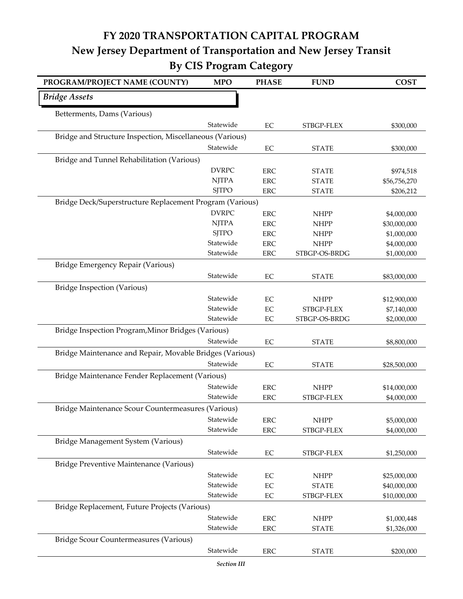## **FY 2020 TRANSPORTATION CAPITAL PROGRAM New Jersey Department of Transportation and New Jersey Transit By CIS Program Category**

| PROGRAM/PROJECT NAME (COUNTY)                            | <b>MPO</b>   | <b>PHASE</b>      | <b>FUND</b>               | <b>COST</b>                |
|----------------------------------------------------------|--------------|-------------------|---------------------------|----------------------------|
| <b>Bridge Assets</b>                                     |              |                   |                           |                            |
| Betterments, Dams (Various)                              |              |                   |                           |                            |
|                                                          | Statewide    | EC                | STBGP-FLEX                | \$300,000                  |
| Bridge and Structure Inspection, Miscellaneous (Various) |              |                   |                           |                            |
|                                                          | Statewide    | EC                | <b>STATE</b>              | \$300,000                  |
| Bridge and Tunnel Rehabilitation (Various)               |              |                   |                           |                            |
|                                                          | <b>DVRPC</b> | <b>ERC</b>        | <b>STATE</b>              | \$974,518                  |
|                                                          | <b>NJTPA</b> | <b>ERC</b>        | <b>STATE</b>              | \$56,756,270               |
|                                                          | <b>SJTPO</b> | <b>ERC</b>        | <b>STATE</b>              | \$206,212                  |
| Bridge Deck/Superstructure Replacement Program (Various) |              |                   |                           |                            |
|                                                          | <b>DVRPC</b> | <b>ERC</b>        | <b>NHPP</b>               | \$4,000,000                |
|                                                          | <b>NJTPA</b> | <b>ERC</b>        | <b>NHPP</b>               | \$30,000,000               |
|                                                          | <b>SJTPO</b> | <b>ERC</b>        | <b>NHPP</b>               | \$1,000,000                |
|                                                          | Statewide    | <b>ERC</b>        | <b>NHPP</b>               | \$4,000,000                |
|                                                          | Statewide    | <b>ERC</b>        | STBGP-OS-BRDG             | \$1,000,000                |
| Bridge Emergency Repair (Various)                        |              |                   |                           |                            |
|                                                          | Statewide    | EC                | <b>STATE</b>              | \$83,000,000               |
| <b>Bridge Inspection (Various)</b>                       |              |                   |                           |                            |
|                                                          | Statewide    | EC                | <b>NHPP</b>               | \$12,900,000               |
|                                                          | Statewide    | EC                | STBGP-FLEX                | \$7,140,000                |
|                                                          | Statewide    | EC                | STBGP-OS-BRDG             | \$2,000,000                |
| Bridge Inspection Program, Minor Bridges (Various)       |              |                   |                           |                            |
|                                                          | Statewide    | EC                | <b>STATE</b>              | \$8,800,000                |
| Bridge Maintenance and Repair, Movable Bridges (Various) |              |                   |                           |                            |
|                                                          | Statewide    | EC                | <b>STATE</b>              | \$28,500,000               |
| Bridge Maintenance Fender Replacement (Various)          |              |                   |                           |                            |
|                                                          | Statewide    | <b>ERC</b>        | <b>NHPP</b>               | \$14,000,000               |
|                                                          | Statewide    | ERC               | STBGP-FLEX                | \$4,000,000                |
| Bridge Maintenance Scour Countermeasures (Various)       |              |                   |                           |                            |
|                                                          | Statewide    |                   |                           |                            |
|                                                          | Statewide    | ERC<br><b>ERC</b> | <b>NHPP</b><br>STBGP-FLEX | \$5,000,000<br>\$4,000,000 |
| Bridge Management System (Various)                       |              |                   |                           |                            |
|                                                          | Statewide    |                   |                           |                            |
|                                                          |              | EC                | STBGP-FLEX                | \$1,250,000                |
| Bridge Preventive Maintenance (Various)                  |              |                   |                           |                            |
|                                                          | Statewide    | EC                | <b>NHPP</b>               | \$25,000,000               |
|                                                          | Statewide    | EC                | <b>STATE</b>              | \$40,000,000               |
|                                                          | Statewide    | EC                | STBGP-FLEX                | \$10,000,000               |
| Bridge Replacement, Future Projects (Various)            |              |                   |                           |                            |
|                                                          | Statewide    | ERC               | <b>NHPP</b>               | \$1,000,448                |
|                                                          | Statewide    | <b>ERC</b>        | <b>STATE</b>              | \$1,326,000                |
| Bridge Scour Countermeasures (Various)                   |              |                   |                           |                            |
|                                                          | Statewide    | ERC               | <b>STATE</b>              | \$200,000                  |
|                                                          |              |                   |                           |                            |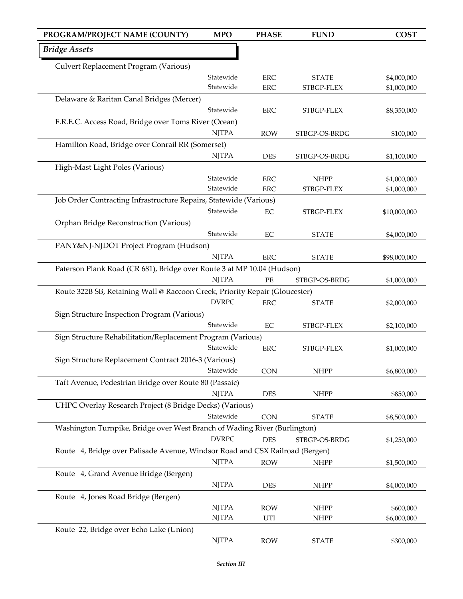| PROGRAM/PROJECT NAME (COUNTY)                                                | <b>MPO</b>                   | <b>PHASE</b> | <b>FUND</b>   | <b>COST</b>  |
|------------------------------------------------------------------------------|------------------------------|--------------|---------------|--------------|
| <b>Bridge Assets</b>                                                         |                              |              |               |              |
| Culvert Replacement Program (Various)                                        |                              |              |               |              |
|                                                                              | Statewide                    | <b>ERC</b>   | <b>STATE</b>  | \$4,000,000  |
|                                                                              | Statewide                    | <b>ERC</b>   | STBGP-FLEX    | \$1,000,000  |
| Delaware & Raritan Canal Bridges (Mercer)                                    |                              |              |               |              |
|                                                                              | Statewide                    | ERC          | STBGP-FLEX    | \$8,350,000  |
| F.R.E.C. Access Road, Bridge over Toms River (Ocean)                         |                              |              |               |              |
|                                                                              | <b>NJTPA</b>                 | <b>ROW</b>   | STBGP-OS-BRDG | \$100,000    |
| Hamilton Road, Bridge over Conrail RR (Somerset)                             |                              |              |               |              |
|                                                                              | <b>NJTPA</b>                 | <b>DES</b>   | STBGP-OS-BRDG | \$1,100,000  |
| High-Mast Light Poles (Various)                                              |                              |              |               |              |
|                                                                              | Statewide                    | <b>ERC</b>   | <b>NHPP</b>   | \$1,000,000  |
|                                                                              | Statewide                    | <b>ERC</b>   | STBGP-FLEX    | \$1,000,000  |
| Job Order Contracting Infrastructure Repairs, Statewide (Various)            |                              |              |               |              |
|                                                                              | Statewide                    | $\rm EC$     | STBGP-FLEX    | \$10,000,000 |
| Orphan Bridge Reconstruction (Various)                                       |                              |              |               |              |
|                                                                              | Statewide                    | EC           | <b>STATE</b>  | \$4,000,000  |
| PANY&NJ-NJDOT Project Program (Hudson)                                       |                              |              |               |              |
|                                                                              | <b>NJTPA</b>                 | <b>ERC</b>   | <b>STATE</b>  | \$98,000,000 |
| Paterson Plank Road (CR 681), Bridge over Route 3 at MP 10.04 (Hudson)       |                              |              |               |              |
|                                                                              | <b>NJTPA</b>                 | $\rm PE$     | STBGP-OS-BRDG | \$1,000,000  |
| Route 322B SB, Retaining Wall @ Raccoon Creek, Priority Repair (Gloucester)  |                              |              |               |              |
|                                                                              | <b>DVRPC</b>                 | <b>ERC</b>   | <b>STATE</b>  | \$2,000,000  |
| Sign Structure Inspection Program (Various)                                  |                              |              |               |              |
|                                                                              | Statewide                    | $\rm EC$     | STBGP-FLEX    | \$2,100,000  |
| Sign Structure Rehabilitation/Replacement Program (Various)                  |                              |              |               |              |
|                                                                              | Statewide                    | <b>ERC</b>   | STBGP-FLEX    | \$1,000,000  |
| Sign Structure Replacement Contract 2016-3 (Various)                         |                              |              |               |              |
|                                                                              | Statewide                    | <b>CON</b>   | <b>NHPP</b>   | \$6,800,000  |
| Taft Avenue, Pedestrian Bridge over Route 80 (Passaic)                       |                              |              |               |              |
|                                                                              | <b>NJTPA</b>                 | <b>DES</b>   | <b>NHPP</b>   | \$850,000    |
| UHPC Overlay Research Project (8 Bridge Decks) (Various)                     |                              |              |               |              |
|                                                                              | Statewide                    | <b>CON</b>   | <b>STATE</b>  | \$8,500,000  |
| Washington Turnpike, Bridge over West Branch of Wading River (Burlington)    |                              |              |               |              |
|                                                                              | <b>DVRPC</b>                 | <b>DES</b>   | STBGP-OS-BRDG | \$1,250,000  |
| Route 4, Bridge over Palisade Avenue, Windsor Road and CSX Railroad (Bergen) |                              |              |               |              |
|                                                                              | <b>NJTPA</b>                 | <b>ROW</b>   | <b>NHPP</b>   | \$1,500,000  |
| Route 4, Grand Avenue Bridge (Bergen)                                        |                              |              |               |              |
|                                                                              | <b>NJTPA</b>                 | DES          | <b>NHPP</b>   | \$4,000,000  |
| Route 4, Jones Road Bridge (Bergen)                                          |                              |              |               |              |
|                                                                              | <b>NJTPA</b><br><b>NJTPA</b> | <b>ROW</b>   | <b>NHPP</b>   | \$600,000    |
|                                                                              |                              | UTI          | <b>NHPP</b>   | \$6,000,000  |
| Route 22, Bridge over Echo Lake (Union)                                      |                              |              |               |              |
|                                                                              | <b>NJTPA</b>                 | <b>ROW</b>   | <b>STATE</b>  | \$300,000    |